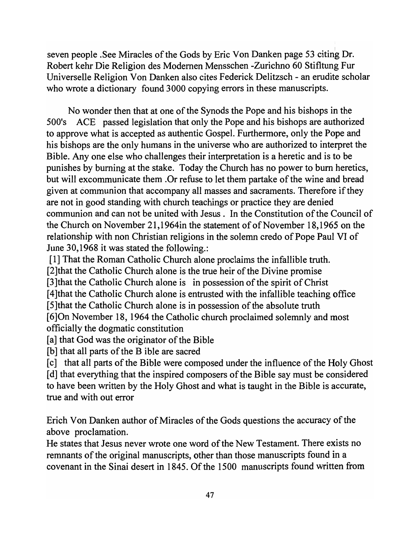seven people .See Miracles of the Gods by Eric Von Danken page 53 citing Dr. Robert kehr Die Religion des Modernen Mensschen -Zurichno 60 Stifltung Fur Universelle Religion Von Danken also cites Federick Delitzsch - an erudite scholar who wrote a dictionary found 3000 copying errors in these manuscripts.

No wonder then that at one of the Synods the Pope and his bishops in the 500's ACE passed legislation that only the Pope and his bishops are authorized to approve what is accepted as authentic Gospel. Furthermore, only the Pope and his bishops are the only humans in the universe who are authorized to interpret the Bible. Anyone else who challenges their interpretation is a heretic and is to be punishes by burning at the stake. Today the Church has no power to bum heretics, but will excommunicate them .Or refuse to let them partake of the wine and bread given at communion that accompany all masses and sacraments. Therefore if they are not in good standing with church teachings or practice they are denied communion and can not be united with Jesus. In the Constitution of the Council of the Church on November 21, 1964in the statement of of November 18,1965 on the relationship with non Christian religions in the solemn credo of Pope Paul VI of June 30,1968 it was stated the following.:

[1] That the Roman Catholic Church alone proclaims the infallible truth. [2]that the Catholic Church alone is the true heir of the Divine promise [3]that the Catholic Church alone is in possession of the spirit of Christ [4] that the Catholic Church alone is entrusted with the infallible teaching office [5]that the Catholic Church alone is in possession of the absolute truth [6]On November 18, 1964 the Catholic church proclaimed solemnly and most officially the dogmatic constitution

[a] that God was the originator of the Bible

[b] that all parts of the Bible are sacred

[c] that all parts of the Bible were composed under the influence of the Holy Ghost [d] that everything that the inspired composers of the Bible say must be considered to have been written by the Holy Ghost and what is taught in the Bible is accurate, true and with out error

Erich Von Danken author of Miracles of the Gods questions the accuracy of the above proclamation.

He states that Jesus never wrote one word of the New Testament. There exists no remnants of the original manuscripts, other than those manuscripts found in a covenant in the Sinai desert in 1845. Of the 1500 manuscripts found written from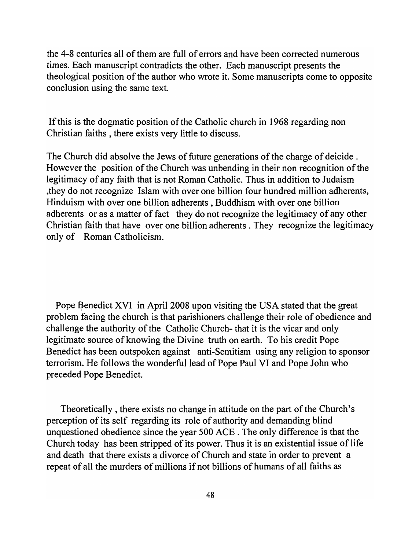the 4-8 centuries all of them are full of errors and have been corrected numerous times. Each manuscript contradicts the other. Each manuscript presents the theological position of the author who wrote it. Some manuscripts come to opposite conclusion using the same text.

If this is the dogmatic position of the Catholic church in 1968 regarding non Christian faiths, there exists very little to discuss.

The Church did absolve the Jews of future generations of the charge of deicide . However the position of the Church was unbending in their non recognition of the legitimacy of any faith that is not Roman Catholic. Thus in addition to Judaism ,they do not recognize Islam with over one billion four hundred million adherents, Hinduism with over one billion adherents, Buddhism with over one billion adherents or as a matter of fact they do not recognize the legitimacy of any other Christian faith that have over one billion adherents. They recognize the legitimacy only of Roman Catholicism.

Pope Benedict XVI in April 2008 upon visiting the USA stated that the great problem facing the church is that parishioners challenge their role of obedience and challenge the authority of the Catholic Church- that it is the vicar and only legitimate source of knowing the Divine truth on earth. To his credit Pope Benedict has been outspoken against anti-Semitism using any religion to sponsor terrorism. He follows the wonderful lead of Pope Paul VI and Pope John who preceded Pope Benedict.

Theoretically , there exists no change in attitude on the part of the Church's perception of its self regarding its role of authority and demanding blind unquestioned obedience since the year 500 ACE. The only difference is that the Church today has been stripped of its power. Thus it is an existential issue of life and death that there exists a divorce of Church and state in order to prevent a repeat of all the murders of millions if not billions of humans of all faiths as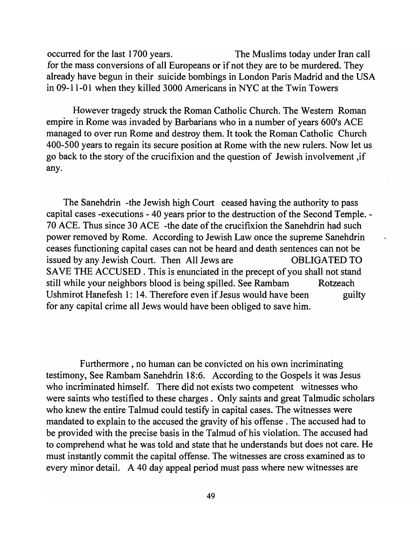occurred for the last 1700 years. The Muslims today under Iran call for the mass conversions of all Europeans or if not they are to be murdered. They already have begun in their suicide bombings in London Paris Madrid and the USA in 09-11-01 when they killed 3000 Americans in NYC at the Twin Towers

However tragedy struck the Roman Catholic Church. The Western Roman empire in Rome was invaded by Barbarians who in a number of years 600's ACE managed to over run Rome and destroy them. It took the Roman Catholic Church 400-500 years to regain its secure position at Rome with the new rulers. Now let us go back to the story of the crucifixion and the question of Jewish involvement ,if any.

The Sanehdrin -the Jewish high Court ceased having the authority to pass capital cases -executions - 40 years prior to the destruction of the Second Temple. - 70 ACE. Thus since 30 ACE -the date of the crucifixion the Sanehdrin had such power removed by Rome. According to Jewish Law once the supreme Sanehdrin ceases functioning capital cases can not be heard and death sentences can not be issued by any Jewish Court. Then All Jews are **OBLIGATED TO** SAVE THE ACCUSED. This is enunciated in the precept of you shall not stand still while your neighbors blood is being spilled. See Rambam Rotzeach Ushmirot Hanefesh 1: 14. Therefore even if Jesus would have been guilty for any capital crime all Jews would have been obliged to save him.

Furthermore, no human can be convicted on his own incriminating testimony, See Rambam Sanehdrin 18:6. According to the Gospels it was Jesus who incriminated himself. There did not exists two competent witnesses who were saints who testified to these charges. Only saints and great Talmudic scholars who knew the entire Talmud could testify in capital cases. The witnesses were mandated to explain to the accused the gravity of his offense . The accused had to be provided with the precise basis in the Talmud of his violation. The accused had to comprehend what he was told and state that he understands but does not care. He must instantly commit the capital offense. The witnesses are cross examined as to every minor detail. A 40 day appeal period must pass where new witnesses are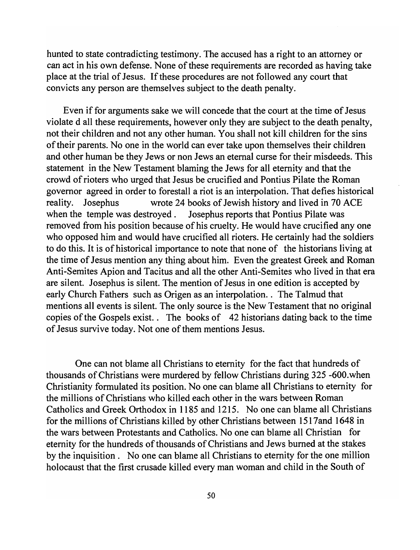hunted to state contradicting testimony. The accused has a right to an attorney or can act in his own defense. None of these requirements are recorded as having take place at the trial of Jesus. If these procedures are not followed any court that convicts any person are themselves subject to the death penalty.

Even if for arguments sake we will concede that the court at the time of Jesus violate d all these requirements, however only they are subject to the death penalty, not their children and not any other human. You shall not kill children for the sins of their parents. No one in the world can ever take upon themselves their children and other human be they Jews or non Jews an eternal curse for their misdeeds. This statement in the New Testament blaming the Jews for all eternity and that the crowd of rioters who urged that Jesus be crucified and Pontius Pilate the Roman governor agreed in order to forestall a riot is an interpolation. That defies historical reality. Josephus wrote 24 books of Jewish history and lived in 70 ACE when the temple was destroyed. Josephus reports that Pontius Pilate was removed from his position because of his cruelty. He would have crucified anyone who opposed him and would have crucified all rioters. He certainly had the soldiers to do this. It is of historical importance to note that none of the historians living at the time of Jesus mention any thing about him. Even the greatest Greek and Roman Anti-Semites Apion and Tacitus and all the other Anti-Semites who lived in that era are silent. Josephus is silent. The mention of Jesus in one edition is accepted by early Church Fathers such as Origen as an interpolation .. The Talmud that mentions all events is silent. The only source is the New Testament that no original copies of the Gospels exist.. The books of 42 historians dating back to the time of Jesus survive today. Not one of them mentions Jesus.

One can not blame all Christians to eternity for the fact that hundreds of thousands of Christians were murdered by fellow Christians during 325 -600.when Christianity formulated its position. No one can blame all Christians to eternity for the millions of Christians who killed each other in the wars between Roman Catholics and Greek Orthodox in 1185 and 1215. No one can blame all Christians for the millions of Christians killed by other Christians between 1517and 1648 in the wars between Protestants and Catholics. No one can blame all Christian for eternity for the hundreds of thousands of Christians and Jews burned at the stakes by the inquisition. No one can blame all Christians to eternity for the one million holocaust that the first crusade killed every man woman and child in the South of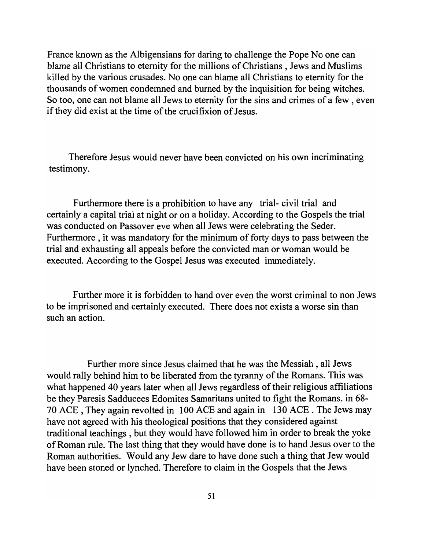France known as the Albigensians for daring to challenge the Pope No one can blame all Christians to eternity for the millions of Christians, Jews and Muslims killed by the various crusades. No one can blame all Christians to eternity for the thousands of women condemned and burned by the inquisition for being witches. So too, one can not blame all Jews to eternity for the sins and crimes of a few , even if they did exist at the time of the crucifixion of Jesus.

Therefore Jesus would never have been convicted on his own incriminating testimony.

Furthermore there is a prohibition to have any trial- civil trial and certainly a capital trial at night or on a holiday. According to the Gospels the trial was conducted on Passover eve when all Jews were celebrating the Seder. Furthermore, it was mandatory for the minimum of forty days to pass between the trial and exhausting all appeals before the convicted man or woman would be executed. According to the Gospel Jesus was executed immediately.

Further more it is forbidden to hand over even the worst criminal to non Jews to be imprisoned and certainly executed. There does not exists a worse sin than such an action.

Further more since Jesus claimed that he was the Messiah, all Jews would rally behind him to be liberated from the tyranny of the Romans. This was what happened 40 years later when all Jews regardless of their religious affiliations be they Paresis Sadducees Edomites Samaritans united to fight the Romans. in 68- 70 ACE, They again revolted in 100 ACE and again in 130 ACE. The Jews may have not agreed with his theological positions that they considered against traditional teachings, but they would have followed him in order to break the yoke of Roman rule. The last thing that they would have done is to hand Jesus over to the Roman authorities. Would any Jew dare to have done such a thing that Jew would have been stoned or lynched. Therefore to claim in the Gospels that the Jews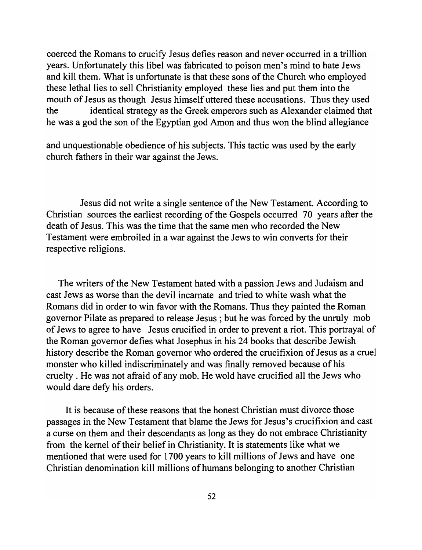coerced the Romans to crucify Jesus defies reason and never occurred in a trillion years. Unfortunately this libel was fabricated to poison men's mind to hate Jews and kill them. What is unfortunate is that these sons of the Church who employed these lethal lies to sell Christianity employed these lies and put them into the mouth of Jesus as though Jesus himself uttered these accusations. Thus they used the identical strategy as the Greek emperors such as Alexander claimed that he was a god the son of the Egyptian god Amon and thus won the blind allegiance

and unquestionable obedience of his subjects. This tactic was used by the early church fathers in their war against the Jews.

Jesus did not write a single sentence of the New Testament. According to Christian sources the earliest recording of the Gospels occurred 70 years after the death of Jesus. This was the time that the same men who recorded the New Testament were embroiled in a war against the Jews to win converts for their respective religions.

The writers of the New Testament hated with a passion Jews and Judaism and cast Jews as worse than the devil incarnate and tried to white wash what the Romans did in order to win favor with the Romans. Thus they painted the Roman governor Pilate as prepared to release Jesus; but he was forced by the unruly mob of Jews to agree to have Jesus crucified in order to prevent a riot. This portrayal of the Roman governor defies what Josephus in his 24 books that describe Jewish history describe the Roman governor who ordered the crucifixion of Jesus as a cruel monster who killed indiscriminately and was finally removed because of his cruelty. He was not afraid of any mob. He wold have crucified all the Jews who would dare defy his orders.

It is because of these reasons that the honest Christian must divorce those passages in the New Testament that blame the Jews for Jesus's crucifixion and cast a curse on them and their descendants as long as they do not embrace Christianity from the kernel of their belief in Christianity. It is statements like what we mentioned that were used for 1700 years to kill millions of Jews and have one Christian denomination kill millions of humans belonging to another Christian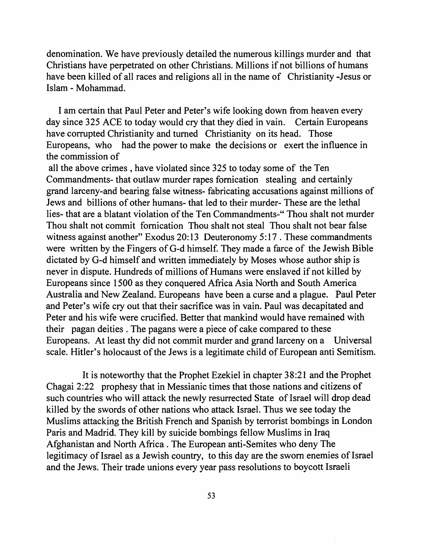denomination. We have previously detailed the numerous killings murder and that Christians have perpetrated on other Christians. Millions if not billions of humans have been killed of all races and religions all in the name of Christianity -Jesus or Islam - Mohammad.

I am certain that Paul Peter and Peter's wife looking down from heaven every day since 325 ACE to today would cry that they died in vain. Certain Europeans have corrupted Christianity and turned Christianity on its head. Those Europeans, who had the power to make the decisions or exert the influence in the commission of

all the above crimes, have violated since 325 to today some of the Ten Commandments- that outlaw murder rapes fornication stealing and certainly grand larceny-and bearing false witness- fabricating accusations against millions of Jews and billions of other humans- that led to their murder- These are the lethal lies- that are a blatant violation of the Ten Commandments-" Thou shalt not murder Thou shalt not commit fornication Thou shalt not steal Thou shalt not bear false witness against another" Exodus 20:13 Deuteronomy 5:17. These commandments were written by the Fingers of G-d himself. They made a farce of the Jewish Bible dictated by G-d himself and written immediately by Moses whose author ship is never in dispute. Hundreds of millions of Humans were enslaved if not killed by Europeans since 1500 as they conquered Africa Asia North and South America Australia and New Zealand. Europeans have been a curse and a plague. Paul Peter and Peter's wife cry out that their sacrifice was in vain. Paul was decapitated and Peter and his wife were crucified. Better that mankind would have remained with their pagan deities. The pagans were a piece of cake compared to these Europeans. At least thy did not commit murder and grand larceny on a Universal scale. Hitler's holocaust of the Jews is a legitimate child of European anti Semitism.

It is noteworthy that the Prophet Ezekiel in chapter 38:21 and the Prophet Chagai 2:22 prophesy that in Messianic times that those nations and citizens of such countries who will attack the newly resurrected State of Israel will drop dead killed by the swords of other nations who attack Israel. Thus we see today the Muslims attacking the British French and Spanish by terrorist bombings in London Paris and Madrid. They kill by suicide bombings fellow Muslims in Iraq Afghanistan and North Africa. The European anti-Semites who deny The legitimacy of Israel as a Jewish country, to this day are the sworn enemies of Israel and the Jews. Their trade unions every year pass resolutions to boycott Israeli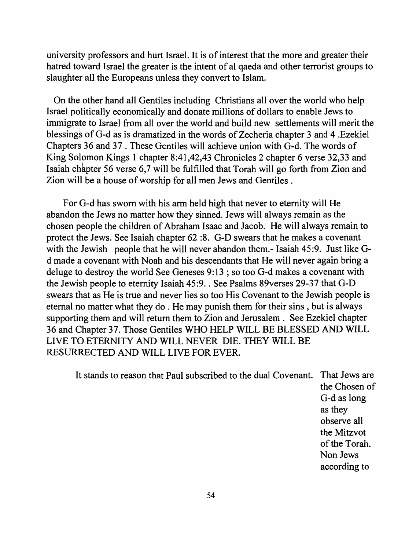university professors and hurt Israel. It is of interest that the more and greater their hatred toward Israel the greater is the intent of al qaeda and other terrorist groups to slaughter all the Europeans unless they convert to Islam.

On the other hand all Gentiles including Christians all over the world who help Israel politically economically and donate millions of dollars to enable Jews to immigrate to Israel from all over the world and build new settlements will merit the blessings of G-d as is dramatized in the words of Zecheria chapter 3 and 4 .Ezekiel Chapters 36 and 37 . These Gentiles will achieve union with G-d. The words of King Solomon Kings 1 chapter 8:41,42,43 Chronicles 2 chapter 6 verse 32,33 and Isaiah chapter 56 verse 6,7 will be fulfilled that Torah will go forth from Zion and Zion will be a house of worship for all men Jews and Gentiles.

For G-d has sworn with his arm held high that never to eternity will He abandon the Jews no matter how they sinned. Jews will always remain as the chosen people the children of Abraham Isaac and Jacob. He will always remain to protect the Jews. See Isaiah chapter 62 :8. G-D swears that he makes a covenant with the Jewish people that he will never abandon them.- Isaiah 45:9. Just like Gd made a covenant with Noah and his descendants that He will never again bring a deluge to destroy the world See Geneses 9:13 ; so too G-d makes a covenant with the Jewish people to eternity Isaiah 45:9 .. See Psalms 89verses 29-37 that G-D swears that as He is true and never lies so too His Covenant to the Jewish people is eternal no matter what they do . He may punish them for their sins, but is always supporting them and will return them to Zion and Jerusalem. See Ezekiel chapter 36 and Chapter 37. Those Gentiles WHO HELP WILL BE BLESSED AND WILL LIVE TO ETERNITY AND WILL NEVER DIE. THEY WILL BE RESURRECTED AND WILL LIVE FOR EVER.

It stands to reason that Paul subscribed to the dual Covenant. That Jews are the Chosen of G-d as long as they observe all the Mitzvot of the Torah. Non Jews according to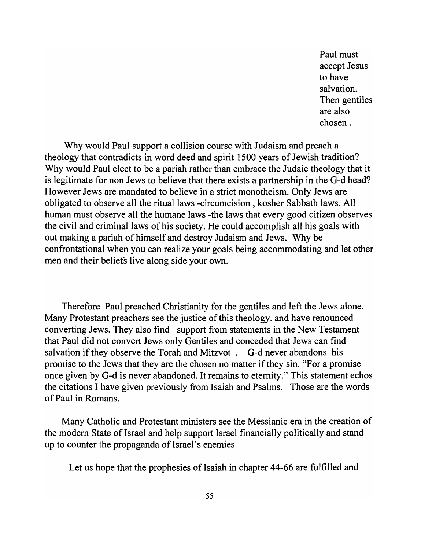Paul must accept Jesus to have salvation. Then gentiles are also chosen.

Why would Paul support a collision course with Judaism and preach a theology that contradicts in word deed and spirit 1500 years of Jewish tradition? Why would Paul elect to be a pariah rather than embrace the Judaic theology that it is legitimate for non Jews to believe that there exists a partnership in the G-d head? However Jews are mandated to believe in a strict monotheism. Only Jews are obligated to observe all the ritual laws -circumcision, kosher Sabbath laws. All human must observe all the humane laws -the laws that every good citizen observes the civil and criminal laws of his society. He could accomplish all his goals with out making a pariah of himself and destroy Judaism and Jews. Why be confrontational when you can realize your goals being accommodating and let other men and their beliefs live along side your own.

Therefore Paul preached Christianity for the gentiles and left the Jews alone. Many Protestant preachers see the justice of this theology. and have renounced converting Jews. They also find support from statements in the New Testament that Paul did not convert Jews only Gentiles and conceded that Jews can find salvation if they observe the Torah and Mitzvot. G-d never abandons his promise to the Jews that they are the chosen no matter if they sin. "For a promise once given by G-d is never abandoned. It remains to eternity." This statement echos the citations I have given previously from Isaiah and Psalms. Those are the words of Paul in Romans.

Many Catholic and Protestant ministers see the Messianic era in the creation of the modem State of Israel and help support Israel financially politically and stand up to counter the propaganda of Israel's enemies

Let us hope that the prophesies of Isaiah in chapter 44-66 are fulfilled and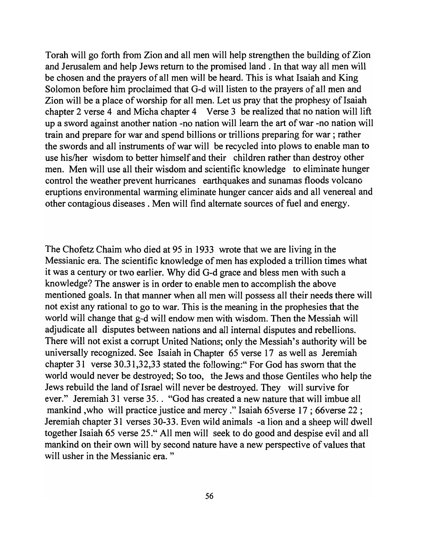Torah will go forth from Zion and all men will help strengthen the building of Zion and Jerusalem and help Jews return to the promised land. In that way all men will be chosen and the prayers of all men will be heard. This is what Isaiah and King Solomon before him proclaimed that G-d will listen to the prayers of all men and Zion will be a place of worship for all men. Let us pray that the prophesy of Isaiah chapter 2 verse 4 and Micha chapter 4 Verse 3 be realized that no nation will lift up a sword against another nation -no nation will learn the art of war -no nation will train and prepare for war and spend billions or trillions preparing for war; rather the swords and all instruments of war will be recycled into plows to enable man to use his/her wisdom to better himself and their children rather than destroy other men. Men will use all their wisdom and scientific knowledge to eliminate hunger control the weather prevent hurricanes earthquakes and sunamas floods volcano eruptions environmental warming eliminate hunger cancer aids and all venereal and other contagious diseases. Men will find alternate sources of fuel and energy.

The Chofetz Chaim who died at 95 in 1933 wrote that we are living in the Messianic era. The scientific knowledge of men has exploded a trillion times what it was a century or two earlier. Why did G-d grace and bless men with such a knowledge? The answer is in order to enable men to accomplish the above mentioned goals. In that manner when all men will possess all their needs there will not exist any rational to go to war. This is the meaning in the prophesies that the world will change that g-d will endow men with wisdom. Then the Messiah will adjudicate all disputes between nations and all internal disputes and rebellions. There will not exist a corrupt United Nations; only the Messiah's authority will be universally recognized. See Isaiah in Chapter 65 verse 17 as well as Jeremiah chapter 31 verse 30.31,32,33 stated the following:" For God has sworn that the world would never be destroyed; So too, the Jews and those Gentiles who help the Jews rebuild the land of Israel will never be destroyed. They will survive for ever." Jeremiah 31 verse 35.. "God has created a new nature that will imbue all mankind ,who will practice justice and mercy." Isaiah 65verse 17; 66verse 22; Jeremiah chapter 31 verses 30-33. Even wild animals -a lion and a sheep will dwell together Isaiah 65 verse 25." All men will seek to do good and despise evil and all mankind on their own will by second nature have a new perspective of values that will usher in the Messianic era. "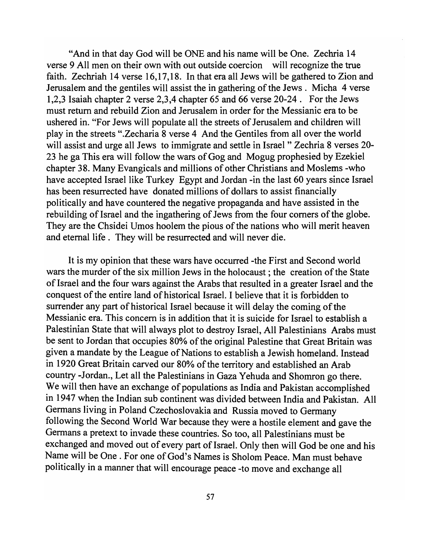"And in that day God will be ONE and his name will be One. Zechria 14 verse 9 All men on their own with out outside coercion will recognize the true faith. Zechriah 14 verse 16,17,18. In that era all Jews will be gathered to Zion and Jerusalem and the gentiles will assist the in gathering of the Jews. Micha 4 verse 1,2,3 Isaiah chapter 2 verse 2,3,4 chapter 65 and 66 verse 20-24. For the Jews must return and rebuild Zion and Jerusalem in order for the Messianic era to be ushered in. "For Jews will populate all the streets of Jerusalem and children will play in the streets" .Zecharia 8 verse 4 And the Gentiles from all over the world will assist and urge all Jews to immigrate and settle in Israel " Zechria 8 verses 20- 23 he ga This era will follow the wars of Gog and Mogug prophesied by Ezekiel chapter 38. Many Evangicals and millions of other Christians and Moslems -who have accepted Israel like Turkey Egypt and Jordan -in the last 60 years since Israel has been resurrected have donated millions of dollars to assist financially politically and have countered the negative propaganda and have assisted in the rebuilding of Israel and the ingathering of Jews from the four comers of the globe. They are the Chsidei Umos hoolem the pious of the nations who will merit heaven and eternal life. They will be resurrected and will never die.

It is my opinion that these wars have occurred -the First and Second world wars the murder of the six million Jews in the holocaust; the creation of the State of Israel and the four wars against the Arabs that resulted in a greater Israel and the conquest of the entire land of historical Israel. I believe that it is forbidden to surrender any part of historical Israel because it will delay the coming of the Messianic era. This concern is in addition that it is suicide for Israel to establish a Palestinian State that will always plot to destroy Israel, All Palestinians Arabs must be sent to Jordan that occupies 80% of the original Palestine that Great Britain was given a mandate by the League of Nations to establish a Jewish homeland. Instead in 1920 Great Britain carved our 80% of the territory and established an Arab country -Jordan., Let all the Palestinians in Gaza Yehuda and Shomron go there. We will then have an exchange of populations as India and Pakistan accomplished in 1947 when the Indian sub continent was divided between India and Pakistan. All Germans living in Poland Czechoslovakia and Russia moved to Germany following the Second World War because they were a hostile element and gave the Germans a pretext to invade these countries. So too, all Palestinians must be exchanged and moved out of every part of Israel. Only then will God be one and his Name will be One. For one of God's Names is Sholom Peace. Man must behave politically in a manner that will encourage peace -to move and exchange all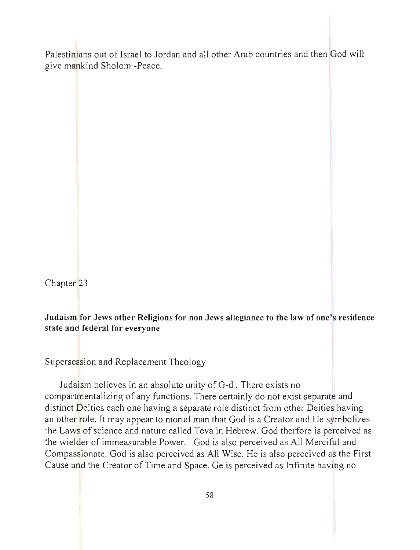Palestinians out of Israel to Jordan and all other Arab countries and then God will give mankind Sholom -Peace.

Chapter 23

## Judaism for Jews other Religions for non Jews allegiance to the law of one's residence state and federal for everyone

Supersession and Replacement Theology

Judaism believes in an absolute unity of G-d . There exists no compartmentalizing of any functions. There certainly do not exist separate and distinct Deities each one having a separate role distinct from other Deities having an other role. It may appear to mortal man that God is a Creator and He symbolizes the Laws of science and nature called Teva in Hebrew. God therfore is perceived as the wielder of immeasurable Power. God is also perceived as All Merciful and Compassionate. God is also perceived as All Wise. He is also perceived as the First Cause and the Creator of Time and Space. Ge is perceived as Infinite having no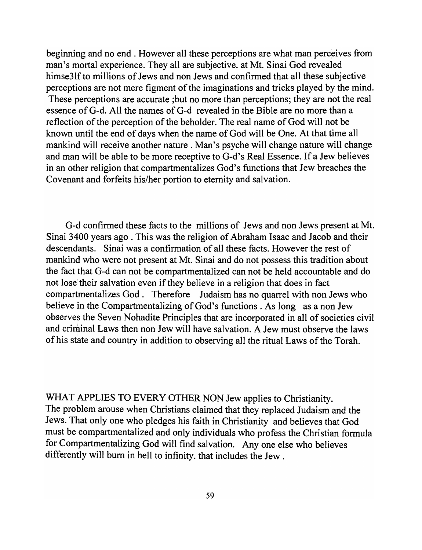beginning and no end . However all these perceptions are what man perceives from man's mortal experience. They all are subjective. at Mt. Sinai God revealed himse3lf to millions of Jews and non Jews and confirmed that all these subjective perceptions are not mere figment of the imaginations and tricks played by the mind. These perceptions are accurate ; but no more than perceptions; they are not the real essence of G-d. All the names of G-d revealed in the Bible are no more than a reflection of the perception of the beholder. The real name of God will not be known until the end of days when the name of God will be One. At that time all mankind will receive another nature. Man's psyche will change nature will change and man will be able to be more receptive to G-d's Real Essence. If a Jew believes in an other religion that compartmentalizes God's functions that Jew breaches the Covenant and forfeits his/her portion to eternity and salvation.

G-d confirmed these facts to the millions of Jews and non Jews present at Mt. Sinai 3400 years ago. This was the religion of Abraham Isaac and Jacob and their descendants. Sinai was a confirmation of all these facts. However the rest of mankind who were not present at Mt. Sinai and do not possess this tradition about the fact that G-d can not be compartmentalized can not be held accountable and do not lose their salvation even if they believe in a religion that does in fact compartmentalizes God. Therefore Judaism has no quarrel with non Jews who believe in the Compartmentalizing of God's functions. As long as a non Jew observes the Seven Nohadite Principles that are incorporated in all of societies civil and criminal Laws then non Jew will have salvation. A Jew must observe the laws of his state and country in addition to observing all the ritual Laws of the Torah.

WHAT APPLIES TO EVERY OTHER NON Jew applies to Christianity. The problem arouse when Christians claimed that they replaced Judaism and the Jews. That only one who pledges his faith in Christianity and believes that God must be compartmentalized and only individuals who profess the Christian formula for Compartmentalizing God will find salvation. Anyone else who believes differently will bum in hell to infinity. that includes the Jew.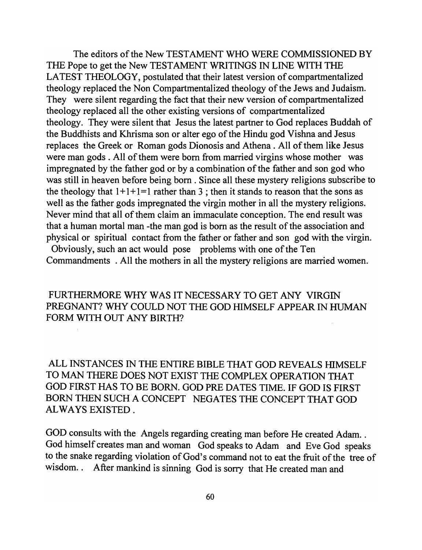The editors of the New TESTAMENT WHO WERE COMMISSIONED BY THE Pope to get the New TESTAMENT WRITINGS IN LINE WITH THE LATEST THEOLOGY, postulated that their latest version of compartmentalized theology replaced the Non Compartmentalized theology of the Jews and Judaism. They were silent regarding the fact that their new version of compartmentalized theology replaced all the other existing versions of compartmentalized theology. They were silent that Jesus the latest partner to God replaces Buddah of the Buddhists and Khrisma son or alter ego of the Hindu god Vishna and Jesus replaces the Greek or Roman gods Dionosis and Athena. All of them like Jesus were man gods . All of them were born from married virgins whose mother was impregnated by the father god or by a combination of the father and son god who was still in heaven before being born. Since all these mystery religions subscribe to the theology that  $1+1+1=1$  rather than 3; then it stands to reason that the sons as well as the father gods impregnated the virgin mother in all the mystery religions. Never mind that all of them claim an immaculate conception. The end result was that a human mortal man -the man god is born as the result of the association and physical or spiritual contact from the father or father and son god with the virgin. Obviously, such an act would pose problems with one of the Ten

Commandments. All the mothers in all the mystery religions are married women.

## FURTHERMORE WHY WAS IT NECESSARY TO GET ANY VIRGIN PREGNANT? WHY COULD NOT THE GOD HIMSELF APPEAR IN HUMAN FORM WITH OUT ANY BIRTH?

ALL INSTANCES IN THE ENTIRE BIBLE THAT GOD REVEALS HIMSELF TO MAN THERE DOES NOT EXIST THE COMPLEX OPERATION THAT GOD FIRST HAS TO BE BORN. GOD PRE DATES TIME. IF GOD IS FIRST BORN THEN SUCH A CONCEPT NEGATES THE CONCEPT THAT GOD ALWAYS EXISTED.

GOD consults with the Angels regarding creating man before He created Adam.. God himself creates man and woman God speaks to Adam and Eve God speaks to the snake regarding violation of God's command not to eat the fruit of the tree of wisdom.. After mankind is sinning God is sorry that He created man and